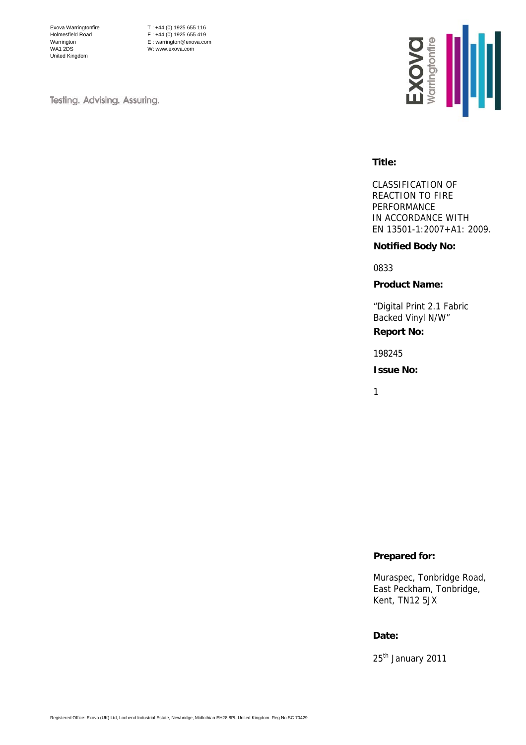Exova Warringtonfire Holmesfield Road Warrington WA1 2DS United Kingdom

T : +44 (0) 1925 655 116  $F : +44 (0) 1925 655 419$ E : warrington@exova.com W: www.exova.com

Testing. Advising. Assuring.



#### **Title:**

CLASSIFICATION OF REACTION TO FIRE PERFORMANCE IN ACCORDANCE WITH EN 13501-1:2007+A1: 2009.

#### **Notified Body No:**

0833

#### **Product Name:**

"Digital Print 2.1 Fabric Backed Vinyl N/W"

# **Report No:**

198245

#### **Issue No:**

1

### **Prepared for:**

Muraspec, Tonbridge Road, East Peckham, Tonbridge, Kent, TN12 5JX

#### **Date:**

25<sup>th</sup> January 2011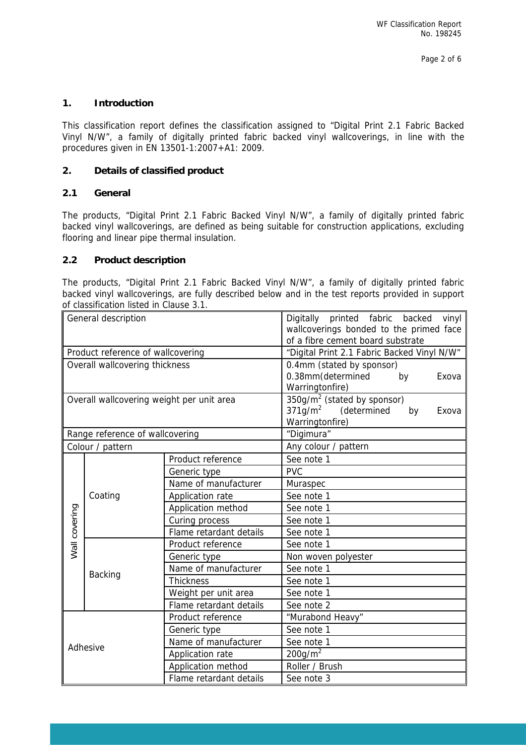## **1. Introduction**

This classification report defines the classification assigned to "Digital Print 2.1 Fabric Backed Vinyl N/W", a family of digitally printed fabric backed vinyl wallcoverings, in line with the procedures given in EN 13501-1:2007+A1: 2009.

## **2. Details of classified product**

## **2.1 General**

The products, "Digital Print 2.1 Fabric Backed Vinyl N/W", a family of digitally printed fabric backed vinyl wallcoverings, are defined as being suitable for construction applications, excluding flooring and linear pipe thermal insulation.

## **2.2 Product description**

The products, "Digital Print 2.1 Fabric Backed Vinyl N/W", a family of digitally printed fabric backed vinyl wallcoverings, are fully described below and in the test reports provided in support of classification listed in Clause 3.1.

|               | General description                       |                         | Digitally printed fabric<br>vinyl<br>backed<br>wallcoverings bonded to the primed face<br>of a fibre cement board substrate |  |  |  |  |
|---------------|-------------------------------------------|-------------------------|-----------------------------------------------------------------------------------------------------------------------------|--|--|--|--|
|               | Product reference of wallcovering         |                         | "Digital Print 2.1 Fabric Backed Vinyl N/W"                                                                                 |  |  |  |  |
|               | Overall wallcovering thickness            |                         | 0.4mm (stated by sponsor)                                                                                                   |  |  |  |  |
|               |                                           |                         | 0.38mm(determined<br>by<br>Exova                                                                                            |  |  |  |  |
|               |                                           |                         | Warringtonfire)                                                                                                             |  |  |  |  |
|               | Overall wallcovering weight per unit area |                         | $350g/m2$ (stated by sponsor)                                                                                               |  |  |  |  |
|               |                                           |                         | $371g/m2$ (determined<br>by<br>Exova                                                                                        |  |  |  |  |
|               |                                           |                         | Warringtonfire)                                                                                                             |  |  |  |  |
|               | Range reference of wallcovering           |                         | "Digimura"                                                                                                                  |  |  |  |  |
|               | Colour / pattern                          |                         | Any colour / pattern                                                                                                        |  |  |  |  |
|               |                                           | Product reference       | See note 1                                                                                                                  |  |  |  |  |
|               |                                           | Generic type            | <b>PVC</b>                                                                                                                  |  |  |  |  |
|               | Coating                                   | Name of manufacturer    | Muraspec                                                                                                                    |  |  |  |  |
|               |                                           | Application rate        | See note 1                                                                                                                  |  |  |  |  |
|               |                                           | Application method      | See note 1                                                                                                                  |  |  |  |  |
|               |                                           | Curing process          | See note 1                                                                                                                  |  |  |  |  |
| Wall covering |                                           | Flame retardant details | See note 1                                                                                                                  |  |  |  |  |
|               | <b>Backing</b>                            | Product reference       | See note 1                                                                                                                  |  |  |  |  |
|               |                                           | Generic type            | Non woven polyester                                                                                                         |  |  |  |  |
|               |                                           | Name of manufacturer    | See note 1                                                                                                                  |  |  |  |  |
|               |                                           | <b>Thickness</b>        | See note 1                                                                                                                  |  |  |  |  |
|               |                                           | Weight per unit area    | See note 1                                                                                                                  |  |  |  |  |
|               |                                           | Flame retardant details | See note 2                                                                                                                  |  |  |  |  |
| Adhesive      |                                           | Product reference       | "Murabond Heavy"                                                                                                            |  |  |  |  |
|               |                                           | Generic type            | See note 1                                                                                                                  |  |  |  |  |
|               |                                           | Name of manufacturer    | See note 1                                                                                                                  |  |  |  |  |
|               |                                           | Application rate        | 200 g/m <sup>2</sup>                                                                                                        |  |  |  |  |
|               |                                           | Application method      | Roller / Brush                                                                                                              |  |  |  |  |
|               |                                           | Flame retardant details | See note 3                                                                                                                  |  |  |  |  |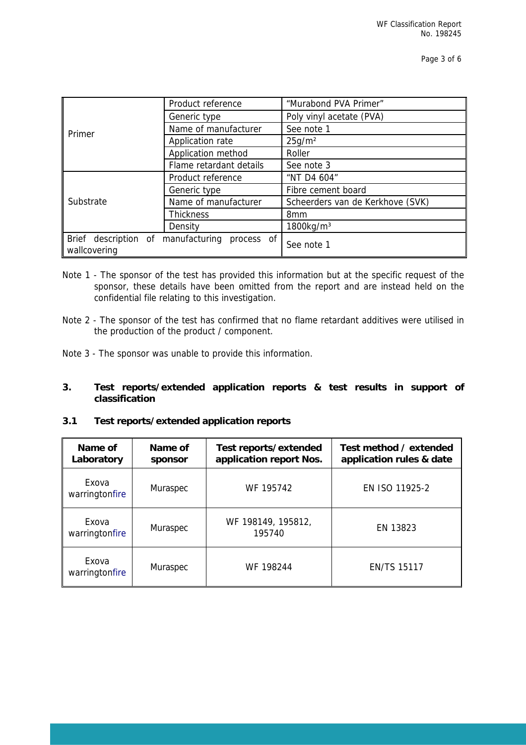|              | Product reference                             | "Murabond PVA Primer"            |  |  |
|--------------|-----------------------------------------------|----------------------------------|--|--|
|              | Generic type                                  | Poly vinyl acetate (PVA)         |  |  |
| Primer       | Name of manufacturer                          | See note 1                       |  |  |
|              | Application rate                              | 25g/m <sup>2</sup>               |  |  |
|              | Application method                            | Roller                           |  |  |
|              | Flame retardant details                       | See note 3                       |  |  |
|              | Product reference                             | "NT D4 604"                      |  |  |
|              | Generic type                                  | Fibre cement board               |  |  |
| Substrate    | Name of manufacturer                          | Scheerders van de Kerkhove (SVK) |  |  |
|              | <b>Thickness</b>                              | 8 <sub>mm</sub>                  |  |  |
|              | Density                                       | 1800kg/m <sup>3</sup>            |  |  |
| wallcovering | Brief description of manufacturing process of | See note 1                       |  |  |

- Note 1 The sponsor of the test has provided this information but at the specific request of the sponsor, these details have been omitted from the report and are instead held on the confidential file relating to this investigation.
- Note 2 The sponsor of the test has confirmed that no flame retardant additives were utilised in the production of the product / component.
- Note 3 The sponsor was unable to provide this information.

## **3. Test reports/extended application reports & test results in support of classification**

### **3.1 Test reports/extended application reports**

| Name of<br>Laboratory               | Name of<br>sponsor | Test reports/extended<br>application report Nos. | Test method / extended<br>application rules & date |  |
|-------------------------------------|--------------------|--------------------------------------------------|----------------------------------------------------|--|
| Exova<br>warringtonfire             | Muraspec           | WF 195742                                        | EN ISO 11925-2                                     |  |
| Exova<br>warringtonfire             | Muraspec           | WF 198149, 195812,<br>195740                     | EN 13823                                           |  |
| Exova<br>Muraspec<br>warringtonfire |                    | WF 198244                                        | <b>EN/TS 15117</b>                                 |  |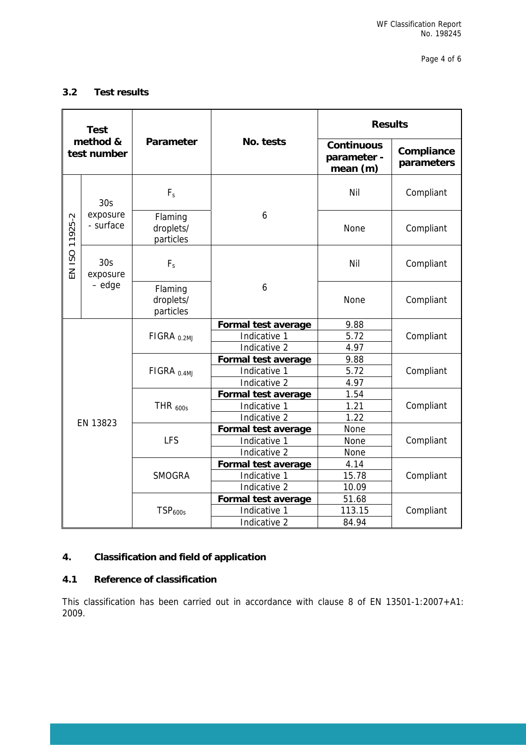## **3.2 Test results**

| <b>Test</b><br>method &<br>test number |                                       |                                   |                            | <b>Results</b>                               |                          |  |
|----------------------------------------|---------------------------------------|-----------------------------------|----------------------------|----------------------------------------------|--------------------------|--|
|                                        |                                       | Parameter                         | No. tests                  | <b>Continuous</b><br>parameter -<br>mean (m) | Compliance<br>parameters |  |
|                                        | 30 <sub>S</sub>                       | $F_{s}$                           |                            | Nil                                          | Compliant                |  |
| EN ISO 11925-2                         | exposure<br>- surface                 | Flaming<br>droplets/<br>particles | 6                          | None                                         | Compliant                |  |
|                                        | 30 <sub>S</sub><br>exposure<br>- edge | $F_s$                             |                            | Nil                                          | Compliant                |  |
|                                        |                                       | Flaming<br>droplets/<br>particles | 6                          | None                                         | Compliant                |  |
|                                        |                                       | FIGRA <sub>0.2MJ</sub>            | Formal test average        | 9.88                                         | Compliant                |  |
|                                        |                                       |                                   | Indicative 1               | 5.72                                         |                          |  |
|                                        |                                       |                                   | Indicative 2               | 4.97                                         |                          |  |
|                                        |                                       |                                   | Formal test average        | 9.88                                         |                          |  |
|                                        |                                       | FIGRA $_{0.4ML}$                  | Indicative 1               | 5.72                                         | Compliant                |  |
|                                        |                                       |                                   | Indicative 2               | 4.97                                         |                          |  |
|                                        |                                       |                                   | Formal test average        | 1.54                                         | Compliant                |  |
|                                        |                                       | THR $_{600s}$                     | Indicative 1               | 1.21                                         |                          |  |
|                                        | EN 13823                              |                                   | Indicative 2               | 1.22                                         |                          |  |
|                                        |                                       |                                   | Formal test average        | None                                         |                          |  |
|                                        |                                       | <b>LFS</b>                        | Indicative 1               | None                                         | Compliant                |  |
|                                        |                                       |                                   | Indicative 2               | None                                         |                          |  |
|                                        |                                       |                                   | Formal test average        | 4.14                                         |                          |  |
|                                        |                                       | <b>SMOGRA</b>                     | Indicative 1               | 15.78                                        | Compliant                |  |
|                                        |                                       |                                   | Indicative 2               | 10.09                                        |                          |  |
|                                        |                                       |                                   | <b>Formal test average</b> | 51.68                                        |                          |  |
|                                        |                                       | TSP <sub>600s</sub>               | Indicative 1               | 113.15                                       | Compliant                |  |
|                                        |                                       |                                   | Indicative 2               | 84.94                                        |                          |  |

## **4. Classification and field of application**

## **4.1 Reference of classification**

This classification has been carried out in accordance with clause 8 of EN 13501-1:2007+A1: 2009.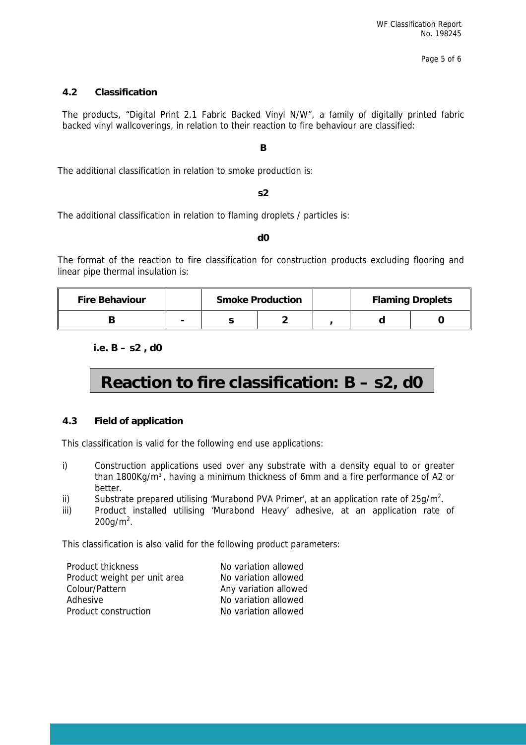## **4.2 Classification**

The products, "Digital Print 2.1 Fabric Backed Vinyl N/W", a family of digitally printed fabric backed vinyl wallcoverings, in relation to their reaction to fire behaviour are classified:

#### **B**

The additional classification in relation to smoke production is:

**s2** 

The additional classification in relation to flaming droplets / particles is:

#### **d0**

The format of the reaction to fire classification for construction products excluding flooring and linear pipe thermal insulation is:

| <b>Fire Behaviour</b> | <b>Smoke Production</b> |  | <b>Flaming Droplets</b> |  |
|-----------------------|-------------------------|--|-------------------------|--|
|                       |                         |  |                         |  |

**i.e. B – s2 , d0** 

# **Reaction to fire classification: B – s2, d0**

#### **4.3 Field of application**

This classification is valid for the following end use applications:

- i) Construction applications used over any substrate with a density equal to or greater than 1800Kg/m<sup>3</sup>, having a minimum thickness of 6mm and a fire performance of A2 or better.
- ii) Substrate prepared utilising 'Murabond PVA Primer', at an application rate of  $25g/m^2$ .
- iii) Product installed utilising 'Murabond Heavy' adhesive, at an application rate of  $200$ g/m<sup>2</sup>.

This classification is also valid for the following product parameters:

| Product thickness            | No variation allowed  |
|------------------------------|-----------------------|
| Product weight per unit area | No variation allowed  |
| Colour/Pattern               | Any variation allowed |
| Adhesive                     | No variation allowed  |
| Product construction         | No variation allowed  |